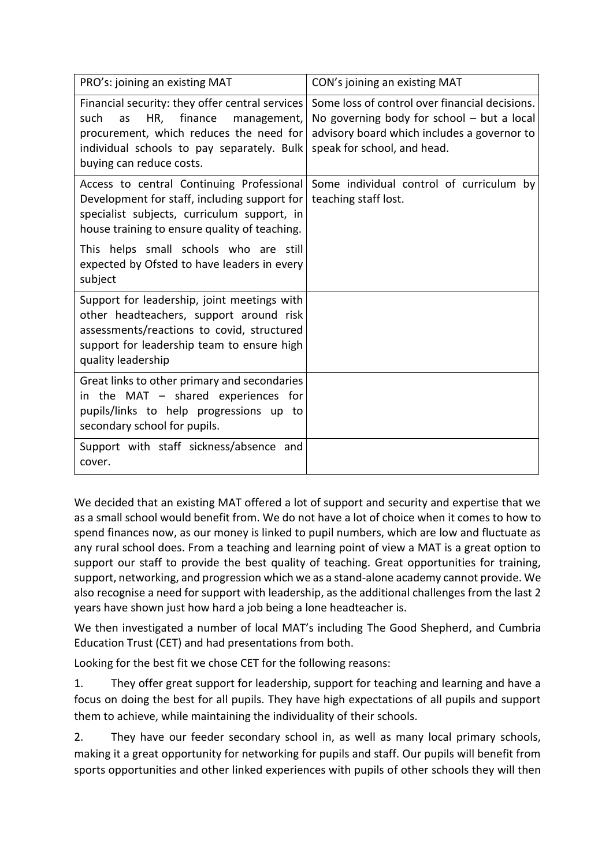| PRO's: joining an existing MAT                                                                                                                                                                                      | CON's joining an existing MAT                                                                                                                                                |
|---------------------------------------------------------------------------------------------------------------------------------------------------------------------------------------------------------------------|------------------------------------------------------------------------------------------------------------------------------------------------------------------------------|
| Financial security: they offer central services<br>finance<br>HR,<br>such<br>management,<br>as<br>procurement, which reduces the need for<br>individual schools to pay separately. Bulk<br>buying can reduce costs. | Some loss of control over financial decisions.<br>No governing body for school $-$ but a local<br>advisory board which includes a governor to<br>speak for school, and head. |
| Access to central Continuing Professional<br>Development for staff, including support for<br>specialist subjects, curriculum support, in<br>house training to ensure quality of teaching.                           | Some individual control of curriculum by<br>teaching staff lost.                                                                                                             |
| This helps small schools who are still<br>expected by Ofsted to have leaders in every<br>subject                                                                                                                    |                                                                                                                                                                              |
| Support for leadership, joint meetings with<br>other headteachers, support around risk<br>assessments/reactions to covid, structured<br>support for leadership team to ensure high<br>quality leadership            |                                                                                                                                                                              |
| Great links to other primary and secondaries<br>in the MAT - shared experiences for<br>pupils/links to help progressions up to<br>secondary school for pupils.                                                      |                                                                                                                                                                              |
| Support with staff sickness/absence and<br>cover.                                                                                                                                                                   |                                                                                                                                                                              |

We decided that an existing MAT offered a lot of support and security and expertise that we as a small school would benefit from. We do not have a lot of choice when it comes to how to spend finances now, as our money is linked to pupil numbers, which are low and fluctuate as any rural school does. From a teaching and learning point of view a MAT is a great option to support our staff to provide the best quality of teaching. Great opportunities for training, support, networking, and progression which we as a stand-alone academy cannot provide. We also recognise a need for support with leadership, as the additional challenges from the last 2 years have shown just how hard a job being a lone headteacher is.

We then investigated a number of local MAT's including The Good Shepherd, and Cumbria Education Trust (CET) and had presentations from both.

Looking for the best fit we chose CET for the following reasons:

1. They offer great support for leadership, support for teaching and learning and have a focus on doing the best for all pupils. They have high expectations of all pupils and support them to achieve, while maintaining the individuality of their schools.

2. They have our feeder secondary school in, as well as many local primary schools, making it a great opportunity for networking for pupils and staff. Our pupils will benefit from sports opportunities and other linked experiences with pupils of other schools they will then